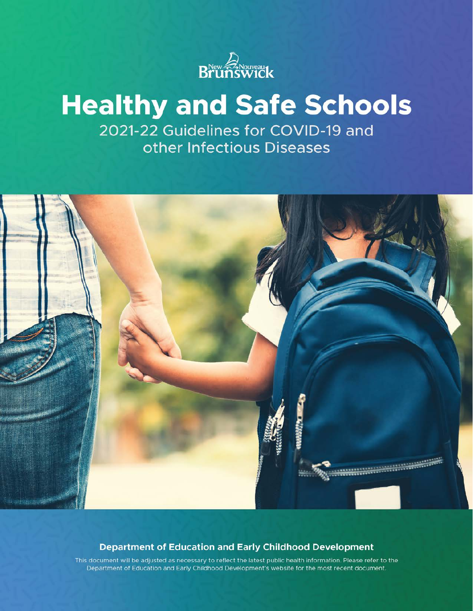

# **Healthy and Safe Schools**

2021-22 Guidelines for COVID-19 and other Infectious Diseases



### **Department of Education and Early Childhood Development**

This document will be adjusted as necessary to reflect the latest public health information. Please refer to the Department of Education and Early Childhood Development's website for the most recent document.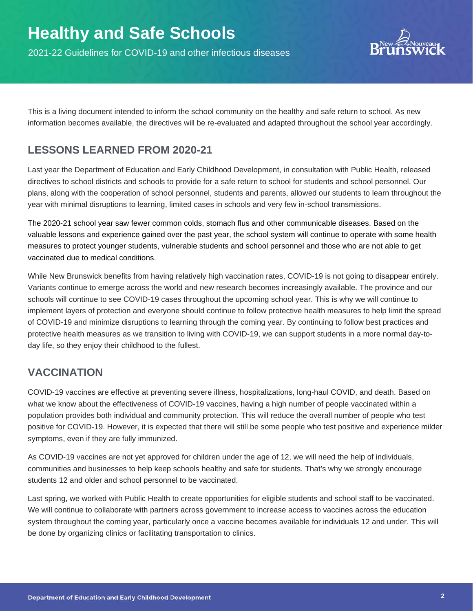

This is a living document intended to inform the school community on the healthy and safe return to school. As new information becomes available, the directives will be re-evaluated and adapted throughout the school year accordingly.

## **LESSONS LEARNED FROM 2020-21**

Last year the Department of Education and Early Childhood Development, in consultation with Public Health, released directives to school districts and schools to provide for a safe return to school for students and school personnel. Our plans, along with the cooperation of school personnel, students and parents, allowed our students to learn throughout the year with minimal disruptions to learning, limited cases in schools and very few in-school transmissions.

The 2020-21 school year saw fewer common colds, stomach flus and other communicable diseases. Based on the valuable lessons and experience gained over the past year, the school system will continue to operate with some health measures to protect younger students, vulnerable students and school personnel and those who are not able to get vaccinated due to medical conditions.

While New Brunswick benefits from having relatively high vaccination rates, COVID-19 is not going to disappear entirely. Variants continue to emerge across the world and new research becomes increasingly available. The province and our schools will continue to see COVID-19 cases throughout the upcoming school year. This is why we will continue to implement layers of protection and everyone should continue to follow protective health measures to help limit the spread of COVID-19 and minimize disruptions to learning through the coming year. By continuing to follow best practices and protective health measures as we transition to living with COVID-19, we can support students in a more normal day-today life, so they enjoy their childhood to the fullest.

### **VACCINATION**

COVID-19 vaccines are effective at preventing severe illness, hospitalizations, long-haul COVID, and death. Based on what we know about the effectiveness of COVID-19 vaccines, having a high number of people vaccinated within a population provides both individual and community protection. This will reduce the overall number of people who test positive for COVID-19. However, it is expected that there will still be some people who test positive and experience milder symptoms, even if they are fully immunized.

As COVID-19 vaccines are not yet approved for children under the age of 12, we will need the help of individuals, communities and businesses to help keep schools healthy and safe for students. That's why we strongly encourage students 12 and older and school personnel to be vaccinated.

Last spring, we worked with Public Health to create opportunities for eligible students and school staff to be vaccinated. We will continue to collaborate with partners across government to increase access to vaccines across the education system throughout the coming year, particularly once a vaccine becomes available for individuals 12 and under. This will be done by organizing clinics or facilitating transportation to clinics.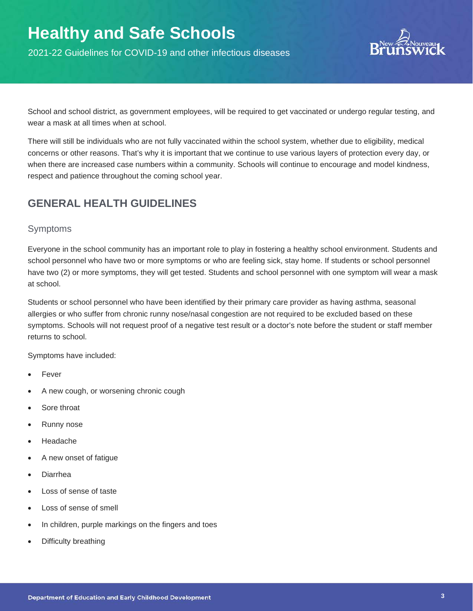

School and school district, as government employees, will be required to get vaccinated or undergo regular testing, and wear a mask at all times when at school.

There will still be individuals who are not fully vaccinated within the school system, whether due to eligibility, medical concerns or other reasons. That's why it is important that we continue to use various layers of protection every day, or when there are increased case numbers within a community. Schools will continue to encourage and model kindness, respect and patience throughout the coming school year.

## **GENERAL HEALTH GUIDELINES**

### Symptoms

Everyone in the school community has an important role to play in fostering a healthy school environment. Students and school personnel who have two or more symptoms or who are feeling sick, stay home. If students or school personnel have two (2) or more symptoms, they will get tested. Students and school personnel with one symptom will wear a mask at school.

Students or school personnel who have been identified by their primary care provider as having asthma, seasonal allergies or who suffer from chronic runny nose/nasal congestion are not required to be excluded based on these symptoms. Schools will not request proof of a negative test result or a doctor's note before the student or staff member returns to school.

Symptoms have included:

- **Fever**
- A new cough, or worsening chronic cough
- Sore throat
- Runny nose
- Headache
- A new onset of fatigue
- Diarrhea
- Loss of sense of taste
- Loss of sense of smell
- In children, purple markings on the fingers and toes
- Difficulty breathing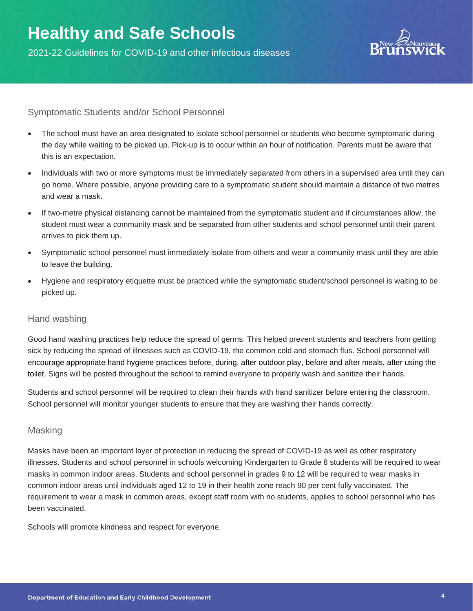

#### Symptomatic Students and/or School Personnel

- The school must have an area designated to isolate school personnel or students who become symptomatic during the day while waiting to be picked up. Pick-up is to occur within an hour of notification. Parents must be aware that this is an expectation.
- Individuals with two or more symptoms must be immediately separated from others in a supervised area until they can go home. Where possible, anyone providing care to a symptomatic student should maintain a distance of two metres and wear a mask.
- If two-metre physical distancing cannot be maintained from the symptomatic student and if circumstances allow, the student must wear a community mask and be separated from other students and school personnel until their parent arrives to pick them up.
- Symptomatic school personnel must immediately isolate from others and wear a community mask until they are able to leave the building.
- Hygiene and respiratory etiquette must be practiced while the symptomatic student/school personnel is waiting to be picked up.

#### Hand washing

Good hand washing practices help reduce the spread of germs. This helped prevent students and teachers from getting sick by reducing the spread of illnesses such as COVID-19, the common cold and stomach flus. School personnel will encourage appropriate hand hygiene practices before, during, after outdoor play, before and after meals, after using the toilet. Signs will be posted throughout the school to remind everyone to properly wash and sanitize their hands.

Students and school personnel will be required to clean their hands with hand sanitizer before entering the classroom. School personnel will monitor younger students to ensure that they are washing their hands correctly.

#### Masking

Masks have been an important layer of protection in reducing the spread of COVID-19 as well as other respiratory illnesses. Students and school personnel in schools welcoming Kindergarten to Grade 8 students will be required to wear masks in common indoor areas. Students and school personnel in grades 9 to 12 will be required to wear masks in common indoor areas until individuals aged 12 to 19 in their health zone reach 90 per cent fully vaccinated. The requirement to wear a mask in common areas, except staff room with no students, applies to school personnel who has been vaccinated.

Schools will promote kindness and respect for everyone.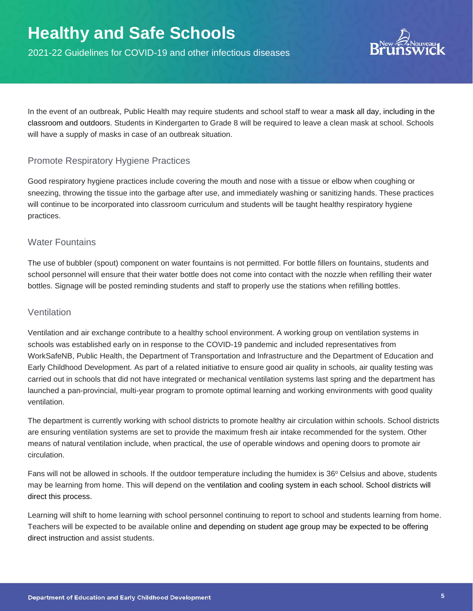

In the event of an outbreak, Public Health may require students and school staff to wear a mask all day, including in the classroom and outdoors. Students in Kindergarten to Grade 8 will be required to leave a clean mask at school. Schools will have a supply of masks in case of an outbreak situation.

### Promote Respiratory Hygiene Practices

Good respiratory hygiene practices include covering the mouth and nose with a tissue or elbow when coughing or sneezing, throwing the tissue into the garbage after use, and immediately washing or sanitizing hands. These practices will continue to be incorporated into classroom curriculum and students will be taught healthy respiratory hygiene practices.

### Water Fountains

The use of bubbler (spout) component on water fountains is not permitted. For bottle fillers on fountains, students and school personnel will ensure that their water bottle does not come into contact with the nozzle when refilling their water bottles. Signage will be posted reminding students and staff to properly use the stations when refilling bottles.

### Ventilation

Ventilation and air exchange contribute to a healthy school environment. A working group on ventilation systems in schools was established early on in response to the COVID-19 pandemic and included representatives from WorkSafeNB, Public Health, the Department of Transportation and Infrastructure and the Department of Education and Early Childhood Development. As part of a related initiative to ensure good air quality in schools, air quality testing was carried out in schools that did not have integrated or mechanical ventilation systems last spring and the department has launched a pan-provincial, multi-year program to promote optimal learning and working environments with good quality ventilation.

The department is currently working with school districts to promote healthy air circulation within schools. School districts are ensuring ventilation systems are set to provide the maximum fresh air intake recommended for the system. Other means of natural ventilation include, when practical, the use of operable windows and opening doors to promote air circulation.

Fans will not be allowed in schools. If the outdoor temperature including the humidex is  $36^\circ$  Celsius and above, students may be learning from home. This will depend on the ventilation and cooling system in each school. School districts will direct this process.

Learning will shift to home learning with school personnel continuing to report to school and students learning from home. Teachers will be expected to be available online and depending on student age group may be expected to be offering direct instruction and assist students.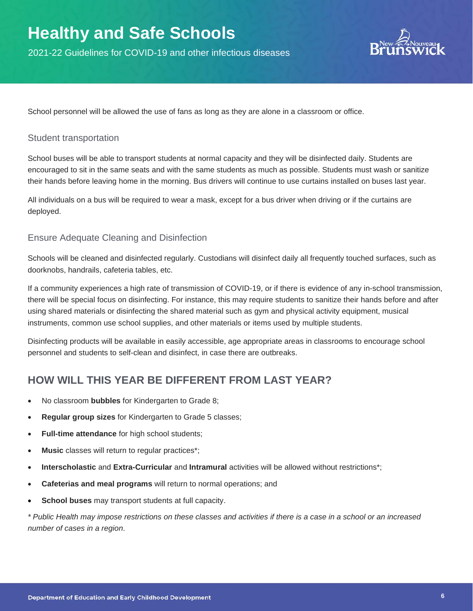

School personnel will be allowed the use of fans as long as they are alone in a classroom or office.

#### Student transportation

School buses will be able to transport students at normal capacity and they will be disinfected daily. Students are encouraged to sit in the same seats and with the same students as much as possible. Students must wash or sanitize their hands before leaving home in the morning. Bus drivers will continue to use curtains installed on buses last year.

All individuals on a bus will be required to wear a mask, except for a bus driver when driving or if the curtains are deployed.

#### Ensure Adequate Cleaning and Disinfection

Schools will be cleaned and disinfected regularly. Custodians will disinfect daily all frequently touched surfaces, such as doorknobs, handrails, cafeteria tables, etc.

If a community experiences a high rate of transmission of COVID-19, or if there is evidence of any in-school transmission, there will be special focus on disinfecting. For instance, this may require students to sanitize their hands before and after using shared materials or disinfecting the shared material such as gym and physical activity equipment, musical instruments, common use school supplies, and other materials or items used by multiple students.

Disinfecting products will be available in easily accessible, age appropriate areas in classrooms to encourage school personnel and students to self-clean and disinfect, in case there are outbreaks.

### **HOW WILL THIS YEAR BE DIFFERENT FROM LAST YEAR?**

- No classroom **bubbles** for Kindergarten to Grade 8;
- **Regular group sizes** for Kindergarten to Grade 5 classes;
- **Full-time attendance** for high school students;
- **Music** classes will return to regular practices\*;
- **Interscholastic** and **Extra-Curricular** and **Intramural** activities will be allowed without restrictions\*;
- **Cafeterias and meal programs** will return to normal operations; and
- **School buses** may transport students at full capacity.

*\* Public Health may impose restrictions on these classes and activities if there is a case in a school or an increased number of cases in a region*.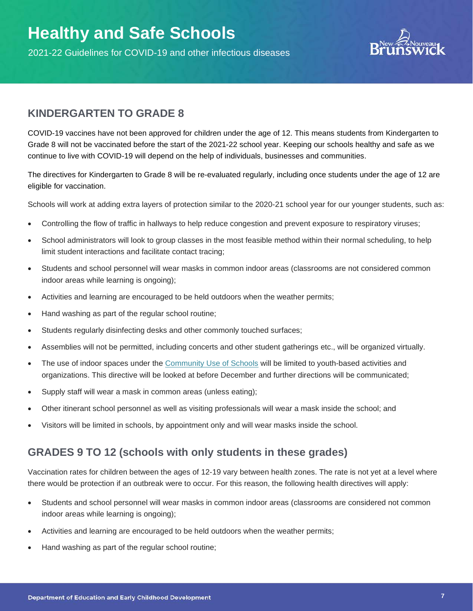

### **KINDERGARTEN TO GRADE 8**

COVID-19 vaccines have not been approved for children under the age of 12. This means students from Kindergarten to Grade 8 will not be vaccinated before the start of the 2021-22 school year. Keeping our schools healthy and safe as we continue to live with COVID-19 will depend on the help of individuals, businesses and communities.

The directives for Kindergarten to Grade 8 will be re-evaluated regularly, including once students under the age of 12 are eligible for vaccination.

Schools will work at adding extra layers of protection similar to the 2020-21 school year for our younger students, such as:

- Controlling the flow of traffic in hallways to help reduce congestion and prevent exposure to respiratory viruses;
- School administrators will look to group classes in the most feasible method within their normal scheduling, to help limit student interactions and facilitate contact tracing;
- Students and school personnel will wear masks in common indoor areas (classrooms are not considered common indoor areas while learning is ongoing);
- Activities and learning are encouraged to be held outdoors when the weather permits;
- Hand washing as part of the regular school routine;
- Students regularly disinfecting desks and other commonly touched surfaces;
- Assemblies will not be permitted, including concerts and other student gatherings etc., will be organized virtually.
- The use of indoor spaces under the [Community Use of Schools](https://www2.gnb.ca/content/dam/gnb/Departments/ed/pdf/K12/policies-politiques/e/407A.pdf) will be limited to youth-based activities and organizations. This directive will be looked at before December and further directions will be communicated;
- Supply staff will wear a mask in common areas (unless eating);
- Other itinerant school personnel as well as visiting professionals will wear a mask inside the school; and
- Visitors will be limited in schools, by appointment only and will wear masks inside the school.

### **GRADES 9 TO 12 (schools with only students in these grades)**

Vaccination rates for children between the ages of 12-19 vary between health zones. The rate is not yet at a level where there would be protection if an outbreak were to occur. For this reason, the following health directives will apply:

- Students and school personnel will wear masks in common indoor areas (classrooms are considered not common indoor areas while learning is ongoing);
- Activities and learning are encouraged to be held outdoors when the weather permits;
- Hand washing as part of the regular school routine;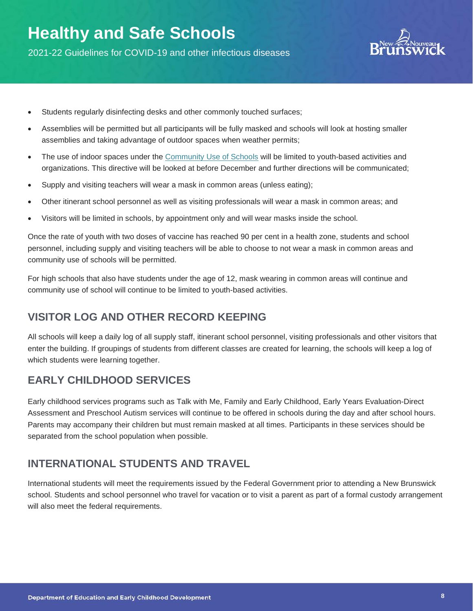

- Students regularly disinfecting desks and other commonly touched surfaces;
- Assemblies will be permitted but all participants will be fully masked and schools will look at hosting smaller assemblies and taking advantage of outdoor spaces when weather permits;
- The use of indoor spaces under the [Community Use of Schools](https://www2.gnb.ca/content/dam/gnb/Departments/ed/pdf/K12/policies-politiques/e/407A.pdf) will be limited to youth-based activities and organizations. This directive will be looked at before December and further directions will be communicated;
- Supply and visiting teachers will wear a mask in common areas (unless eating);
- Other itinerant school personnel as well as visiting professionals will wear a mask in common areas; and
- Visitors will be limited in schools, by appointment only and will wear masks inside the school.

Once the rate of youth with two doses of vaccine has reached 90 per cent in a health zone, students and school personnel, including supply and visiting teachers will be able to choose to not wear a mask in common areas and community use of schools will be permitted.

For high schools that also have students under the age of 12, mask wearing in common areas will continue and community use of school will continue to be limited to youth-based activities.

### **VISITOR LOG AND OTHER RECORD KEEPING**

All schools will keep a daily log of all supply staff, itinerant school personnel, visiting professionals and other visitors that enter the building. If groupings of students from different classes are created for learning, the schools will keep a log of which students were learning together.

### **EARLY CHILDHOOD SERVICES**

Early childhood services programs such as Talk with Me, Family and Early Childhood, Early Years Evaluation-Direct Assessment and Preschool Autism services will continue to be offered in schools during the day and after school hours. Parents may accompany their children but must remain masked at all times. Participants in these services should be separated from the school population when possible.

### **INTERNATIONAL STUDENTS AND TRAVEL**

International students will meet the requirements issued by the Federal Government prior to attending a New Brunswick school. Students and school personnel who travel for vacation or to visit a parent as part of a formal custody arrangement will also meet the federal requirements.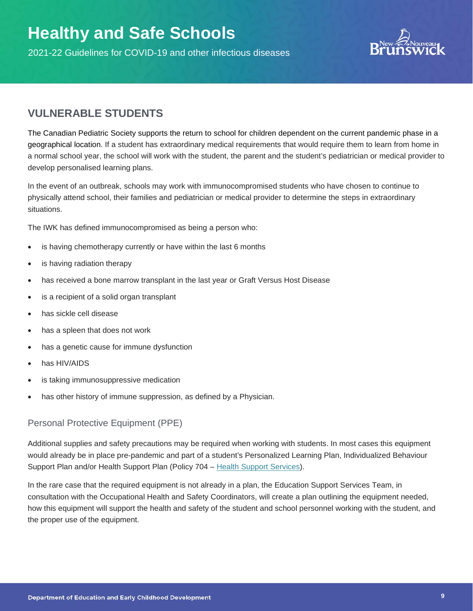

### **VULNERABLE STUDENTS**

The Canadian Pediatric Society supports the return to school for children dependent on the current pandemic phase in a geographical location. If a student has extraordinary medical requirements that would require them to learn from home in a normal school year, the school will work with the student, the parent and the student's pediatrician or medical provider to develop personalised learning plans.

In the event of an outbreak, schools may work with immunocompromised students who have chosen to continue to physically attend school, their families and pediatrician or medical provider to determine the steps in extraordinary situations.

The IWK has defined immunocompromised as being a person who:

- is having chemotherapy currently or have within the last 6 months
- is having radiation therapy
- has received a bone marrow transplant in the last year or Graft Versus Host Disease
- is a recipient of a solid organ transplant
- has sickle cell disease
- has a spleen that does not work
- has a genetic cause for immune dysfunction
- has HIV/AIDS
- is taking immunosuppressive medication
- has other history of immune suppression, as defined by a Physician.

### Personal Protective Equipment (PPE)

Additional supplies and safety precautions may be required when working with students. In most cases this equipment would already be in place pre-pandemic and part of a student's Personalized Learning Plan, Individualized Behaviour Support Plan and/or Health Support Plan (Policy 704 – [Health Support Services\)](https://www2.gnb.ca/content/dam/gnb/Departments/ed/pdf/K12/policies-politiques/e/704A.pdf).

In the rare case that the required equipment is not already in a plan, the Education Support Services Team, in consultation with the Occupational Health and Safety Coordinators, will create a plan outlining the equipment needed, how this equipment will support the health and safety of the student and school personnel working with the student, and the proper use of the equipment.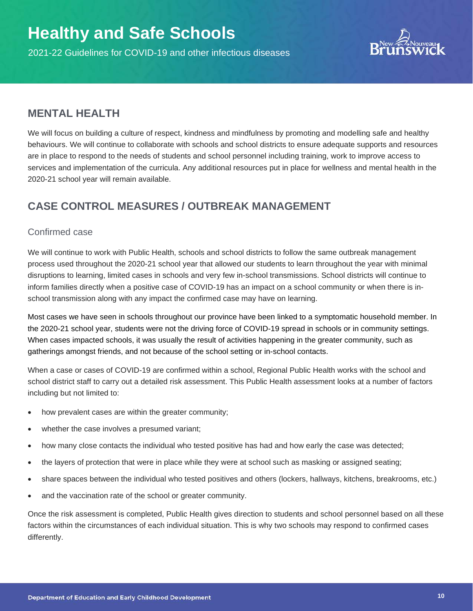

### **MENTAL HEALTH**

We will focus on building a culture of respect, kindness and mindfulness by promoting and modelling safe and healthy behaviours. We will continue to collaborate with schools and school districts to ensure adequate supports and resources are in place to respond to the needs of students and school personnel including training, work to improve access to services and implementation of the curricula. Any additional resources put in place for wellness and mental health in the 2020-21 school year will remain available.

## **CASE CONTROL MEASURES / OUTBREAK MANAGEMENT**

### Confirmed case

We will continue to work with Public Health, schools and school districts to follow the same outbreak management process used throughout the 2020-21 school year that allowed our students to learn throughout the year with minimal disruptions to learning, limited cases in schools and very few in-school transmissions. School districts will continue to inform families directly when a positive case of COVID-19 has an impact on a school community or when there is inschool transmission along with any impact the confirmed case may have on learning.

Most cases we have seen in schools throughout our province have been linked to a symptomatic household member. In the 2020-21 school year, students were not the driving force of COVID-19 spread in schools or in community settings. When cases impacted schools, it was usually the result of activities happening in the greater community, such as gatherings amongst friends, and not because of the school setting or in-school contacts.

When a case or cases of COVID-19 are confirmed within a school, Regional Public Health works with the school and school district staff to carry out a detailed risk assessment. This Public Health assessment looks at a number of factors including but not limited to:

- how prevalent cases are within the greater community;
- whether the case involves a presumed variant;
- how many close contacts the individual who tested positive has had and how early the case was detected;
- the layers of protection that were in place while they were at school such as masking or assigned seating;
- share spaces between the individual who tested positives and others (lockers, hallways, kitchens, breakrooms, etc.)
- and the vaccination rate of the school or greater community.

Once the risk assessment is completed, Public Health gives direction to students and school personnel based on all these factors within the circumstances of each individual situation. This is why two schools may respond to confirmed cases differently.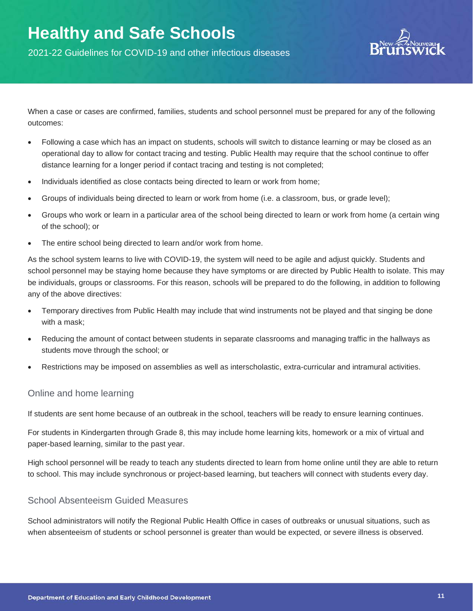

When a case or cases are confirmed, families, students and school personnel must be prepared for any of the following outcomes:

- Following a case which has an impact on students, schools will switch to distance learning or may be closed as an operational day to allow for contact tracing and testing. Public Health may require that the school continue to offer distance learning for a longer period if contact tracing and testing is not completed;
- Individuals identified as close contacts being directed to learn or work from home;
- Groups of individuals being directed to learn or work from home (i.e. a classroom, bus, or grade level);
- Groups who work or learn in a particular area of the school being directed to learn or work from home (a certain wing of the school); or
- The entire school being directed to learn and/or work from home.

As the school system learns to live with COVID-19, the system will need to be agile and adjust quickly. Students and school personnel may be staying home because they have symptoms or are directed by Public Health to isolate. This may be individuals, groups or classrooms. For this reason, schools will be prepared to do the following, in addition to following any of the above directives:

- Temporary directives from Public Health may include that wind instruments not be played and that singing be done with a mask;
- Reducing the amount of contact between students in separate classrooms and managing traffic in the hallways as students move through the school; or
- Restrictions may be imposed on assemblies as well as interscholastic, extra-curricular and intramural activities.

### Online and home learning

If students are sent home because of an outbreak in the school, teachers will be ready to ensure learning continues.

For students in Kindergarten through Grade 8, this may include home learning kits, homework or a mix of virtual and paper-based learning, similar to the past year.

High school personnel will be ready to teach any students directed to learn from home online until they are able to return to school. This may include synchronous or project-based learning, but teachers will connect with students every day.

#### School Absenteeism Guided Measures

School administrators will notify the Regional Public Health Office in cases of outbreaks or unusual situations, such as when absenteeism of students or school personnel is greater than would be expected, or severe illness is observed.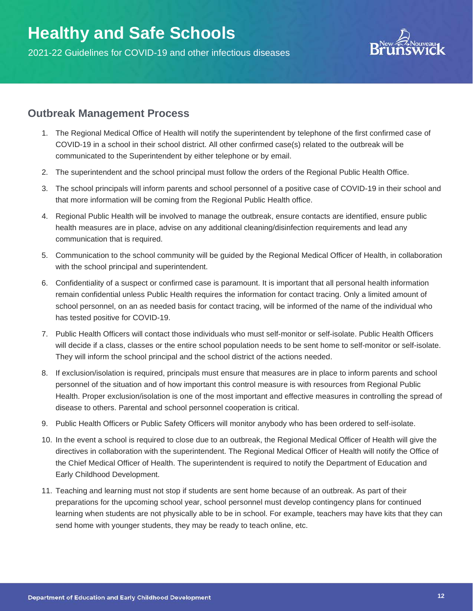

### **Outbreak Management Process**

- 1. The Regional Medical Office of Health will notify the superintendent by telephone of the first confirmed case of COVID-19 in a school in their school district. All other confirmed case(s) related to the outbreak will be communicated to the Superintendent by either telephone or by email.
- 2. The superintendent and the school principal must follow the orders of the Regional Public Health Office.
- 3. The school principals will inform parents and school personnel of a positive case of COVID-19 in their school and that more information will be coming from the Regional Public Health office.
- 4. Regional Public Health will be involved to manage the outbreak, ensure contacts are identified, ensure public health measures are in place, advise on any additional cleaning/disinfection requirements and lead any communication that is required.
- 5. Communication to the school community will be guided by the Regional Medical Officer of Health, in collaboration with the school principal and superintendent.
- 6. Confidentiality of a suspect or confirmed case is paramount. It is important that all personal health information remain confidential unless Public Health requires the information for contact tracing. Only a limited amount of school personnel, on an as needed basis for contact tracing, will be informed of the name of the individual who has tested positive for COVID-19.
- 7. Public Health Officers will contact those individuals who must self-monitor or self-isolate. Public Health Officers will decide if a class, classes or the entire school population needs to be sent home to self-monitor or self-isolate. They will inform the school principal and the school district of the actions needed.
- 8. If exclusion/isolation is required, principals must ensure that measures are in place to inform parents and school personnel of the situation and of how important this control measure is with resources from Regional Public Health. Proper exclusion/isolation is one of the most important and effective measures in controlling the spread of disease to others. Parental and school personnel cooperation is critical.
- 9. Public Health Officers or Public Safety Officers will monitor anybody who has been ordered to self-isolate.
- 10. In the event a school is required to close due to an outbreak, the Regional Medical Officer of Health will give the directives in collaboration with the superintendent. The Regional Medical Officer of Health will notify the Office of the Chief Medical Officer of Health. The superintendent is required to notify the Department of Education and Early Childhood Development.
- 11. Teaching and learning must not stop if students are sent home because of an outbreak. As part of their preparations for the upcoming school year, school personnel must develop contingency plans for continued learning when students are not physically able to be in school. For example, teachers may have kits that they can send home with younger students, they may be ready to teach online, etc.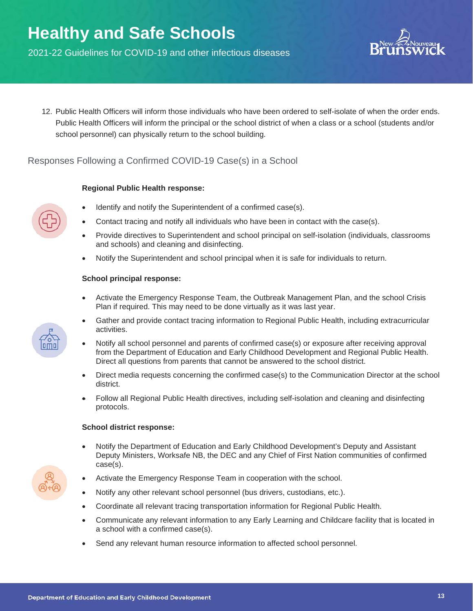

12. Public Health Officers will inform those individuals who have been ordered to self-isolate of when the order ends. Public Health Officers will inform the principal or the school district of when a class or a school (students and/or school personnel) can physically return to the school building.

### Responses Following a Confirmed COVID-19 Case(s) in a School

#### **Regional Public Health response:**

- Identify and notify the Superintendent of a confirmed case(s).
- Contact tracing and notify all individuals who have been in contact with the case(s).
- Provide directives to Superintendent and school principal on self-isolation (individuals, classrooms and schools) and cleaning and disinfecting.
- Notify the Superintendent and school principal when it is safe for individuals to return.

#### **School principal response:**

- Activate the Emergency Response Team, the Outbreak Management Plan, and the school Crisis Plan if required. This may need to be done virtually as it was last year.
- Gather and provide contact tracing information to Regional Public Health, including extracurricular activities.
- Notify all school personnel and parents of confirmed case(s) or exposure after receiving approval from the Department of Education and Early Childhood Development and Regional Public Health. Direct all questions from parents that cannot be answered to the school district.
- Direct media requests concerning the confirmed case(s) to the Communication Director at the school district.
- Follow all Regional Public Health directives, including self-isolation and cleaning and disinfecting protocols.

#### **School district response:**

- Notify the Department of Education and Early Childhood Development's Deputy and Assistant Deputy Ministers, Worksafe NB, the DEC and any Chief of First Nation communities of confirmed case(s).
- Activate the Emergency Response Team in cooperation with the school.
- Notify any other relevant school personnel (bus drivers, custodians, etc.).
- Coordinate all relevant tracing transportation information for Regional Public Health.
- Communicate any relevant information to any Early Learning and Childcare facility that is located in a school with a confirmed case(s).
- Send any relevant human resource information to affected school personnel.